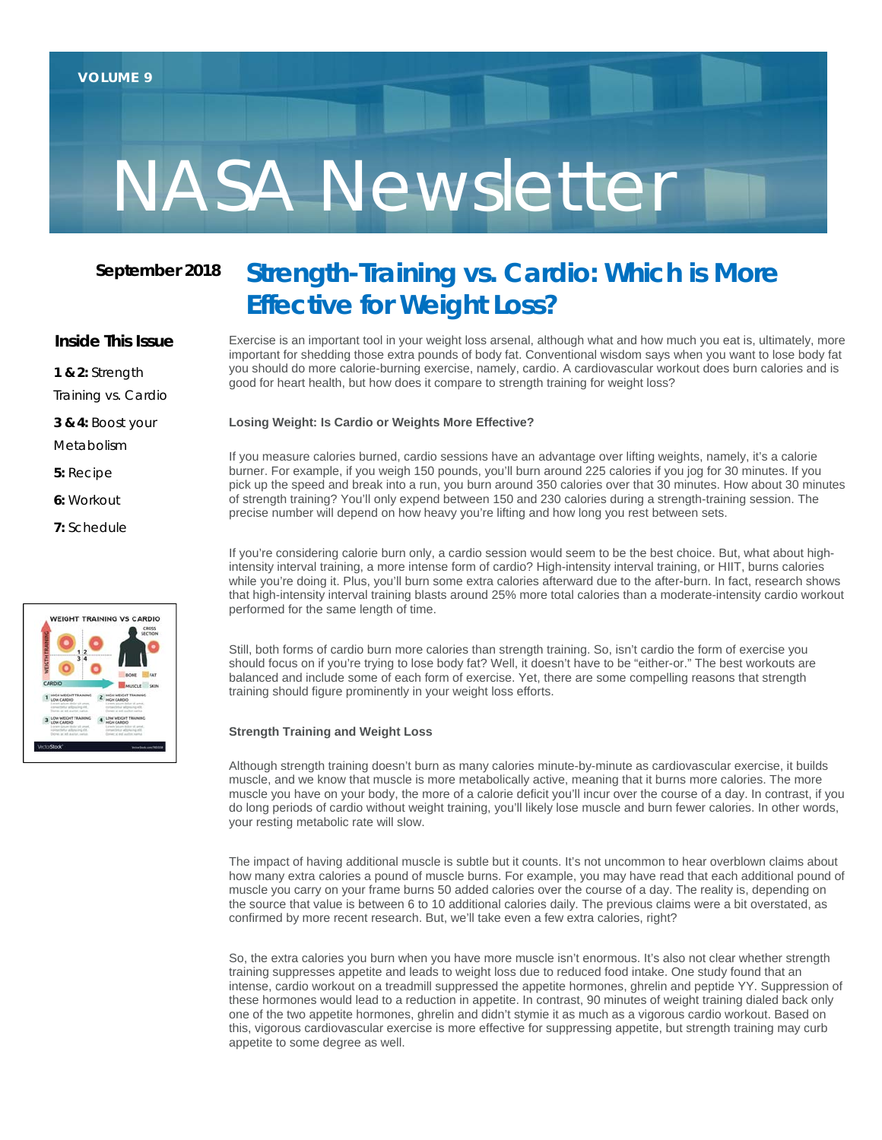# NASA Newsletter

## **September 2018**

#### **Inside This Issue**

**1 & 2:** Strength

Training vs. Cardio

**3 & 4:** Boost your

Metabolism

**5:** Recipe

**6:** Workout

**7:** Schedule



# **Strength-Training vs. Cardio: Which is More Effective for Weight Loss?**

Exercise is an important tool in your weight loss arsenal, although what and how much you eat is, ultimately, more important for shedding those extra pounds of body fat. Conventional wisdom says when you want to lose body fat you should do more calorie-burning exercise, namely, cardio. A cardiovascular workout does burn calories and is good for heart health, but how does it compare to strength training for weight loss?

#### **Losing Weight: Is Cardio or Weights More Effective?**

If you measure calories burned, cardio sessions have an advantage over lifting weights, namely, it's a calorie burner. For example, if you weigh 150 pounds, you'll burn around 225 calories if you jog for 30 minutes. If you pick up the speed and break into a run, you burn around 350 calories over that 30 minutes. How about 30 minutes of strength training? You'll only expend between 150 and 230 calories during a strength-training session. The precise number will depend on how heavy you're lifting and how long you rest between sets.

If you're considering calorie burn only, a cardio session would seem to be the best choice. But, what about highintensity interval training, a more intense form of cardio? High-intensity interval training, or HIIT, burns calories while you're doing it. Plus, you'll burn some extra calories afterward due to the after-burn. In fact, research shows that high-intensity interval training blasts around 25% more total calories than a moderate-intensity cardio workout performed for the same length of time.

Still, both forms of cardio burn more calories than strength training. So, isn't cardio the form of exercise you should focus on if you're trying to lose body fat? Well, it doesn't have to be "either-or." The best workouts are balanced and include some of each form of exercise. Yet, there are some compelling reasons that strength training should figure prominently in your weight loss efforts.

#### **Strength Training and Weight Loss**

Although strength training doesn't burn as many calories minute-by-minute as cardiovascular exercise, it builds muscle, and we know that muscle is more metabolically active, meaning that it burns more calories. The more muscle you have on your body, the more of a calorie deficit you'll incur over the course of a day. In contrast, if you do long periods of cardio without weight training, you'll likely lose muscle and burn fewer calories. In other words, your resting metabolic rate will slow.

The impact of having additional muscle is subtle but it counts. It's not uncommon to hear overblown claims about how many extra calories a pound of muscle burns. For example, you may have read that each additional pound of muscle you carry on your frame burns 50 added calories over the course of a day. The reality is, depending on the source that value is between 6 to 10 additional calories daily. The previous claims were a bit overstated, as confirmed by more recent research. But, we'll take even a few extra calories, right?

So, the extra calories you burn when you have more muscle isn't enormous. It's also not clear whether strength training suppresses appetite and leads to weight loss due to reduced food intake. One study found that an intense, cardio workout on a treadmill suppressed the appetite hormones, ghrelin and peptide YY. Suppression of these hormones would lead to a reduction in appetite. In contrast, 90 minutes of weight training dialed back only one of the two appetite hormones, ghrelin and didn't stymie it as much as a vigorous cardio workout. Based on this, vigorous cardiovascular exercise is more effective for suppressing appetite, but strength training may curb appetite to some degree as well.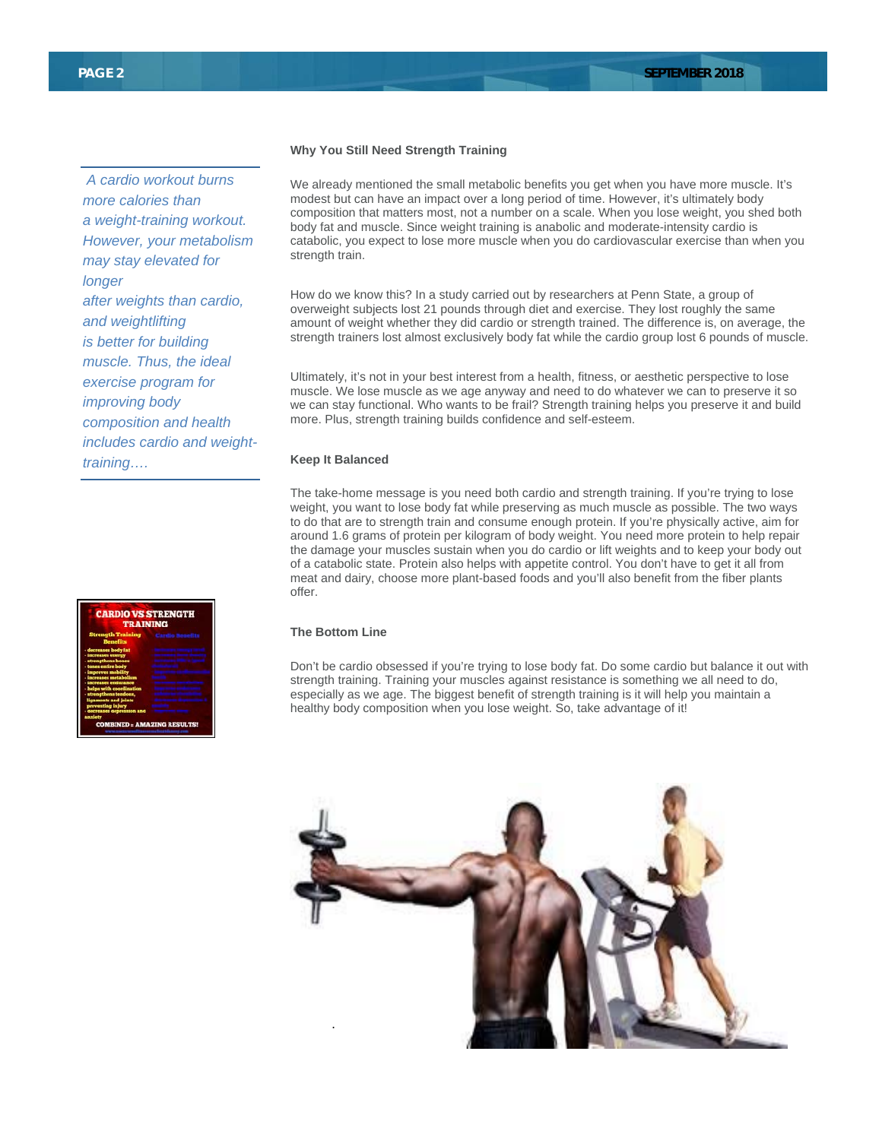*A cardio workout burns more calories than a weight-training workout. However, your metabolism may stay elevated for longer after weights than cardio, and weightlifting is better for building muscle. Thus, the ideal exercise program for improving body composition and health includes cardio and weighttraining….*

# **CARDIO VS STRENGTH AMAZING RESULTS**

#### **Why You Still Need Strength Training**

We already mentioned the small metabolic benefits you get when you have more muscle. It's modest but can have an impact over a long period of time. However, it's ultimately body composition that matters most, not a number on a scale. When you lose weight, you shed both body fat and muscle. Since weight training is anabolic and moderate-intensity cardio is catabolic, you expect to lose more muscle when you do cardiovascular exercise than when you strength train.

How do we know this? In a study carried out by researchers at Penn State, a group of overweight subjects lost 21 pounds through diet and exercise. They lost roughly the same amount of weight whether they did cardio or strength trained. The difference is, on average, the strength trainers lost almost exclusively body fat while the cardio group lost 6 pounds of muscle.

Ultimately, it's not in your best interest from a health, fitness, or aesthetic perspective to lose muscle. We lose muscle as we age anyway and need to do whatever we can to preserve it so we can stay functional. Who wants to be frail? Strength training helps you preserve it and build more. Plus, strength training builds confidence and self-esteem.

#### **Keep It Balanced**

The take-home message is you need both cardio and strength training. If you're trying to lose weight, you want to lose body fat while preserving as much muscle as possible. The two ways to do that are to strength train and consume enough protein. If you're physically active, aim for around 1.6 grams of protein per kilogram of body weight. You need more protein to help repair the damage your muscles sustain when you do cardio or lift weights and to keep your body out of a catabolic state. Protein also helps with appetite control. You don't have to get it all from meat and dairy, choose more plant-based foods and you'll also benefit from the fiber plants offer.

#### **The Bottom Line**

Don't be cardio obsessed if you're trying to lose body fat. Do some cardio but balance it out with strength training. Training your muscles against resistance is something we all need to do, especially as we age. The biggest benefit of strength training is it will help you maintain a healthy body composition when you lose weight. So, take advantage of it!

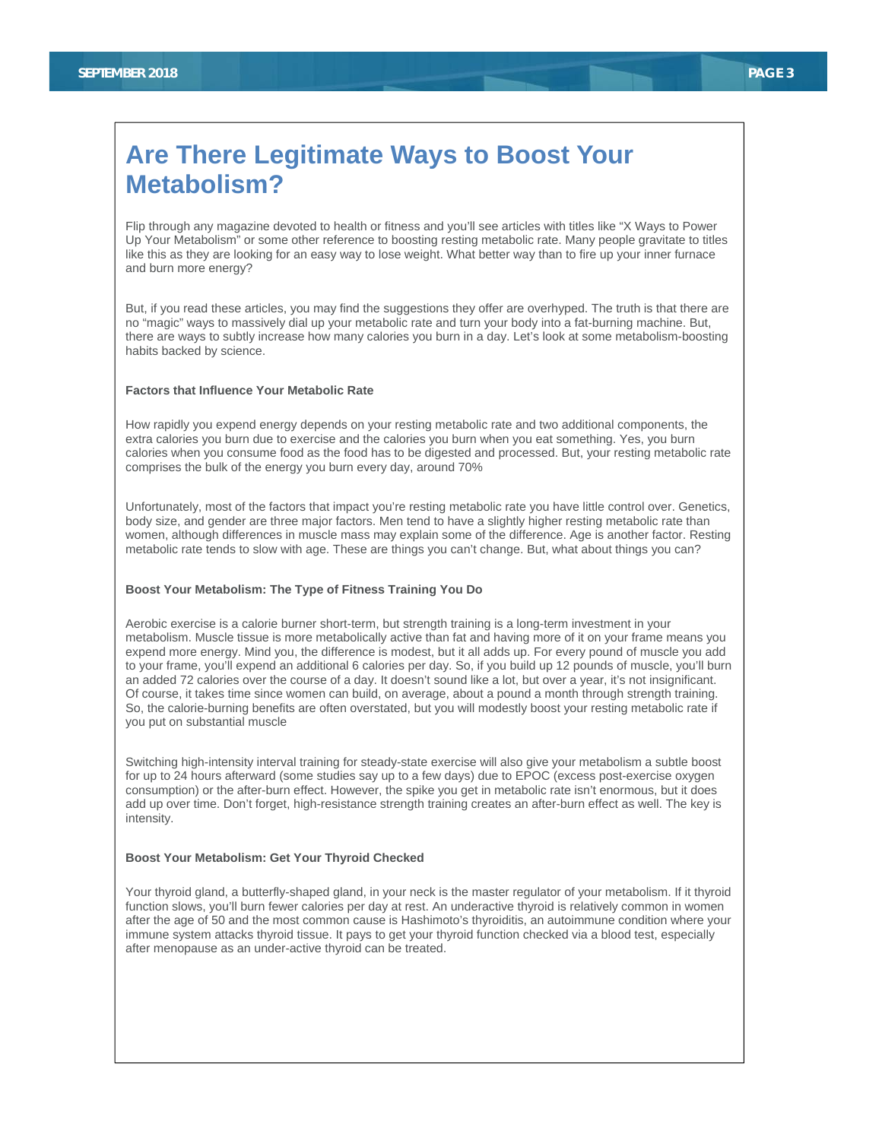# **Are There Legitimate Ways to Boost Your Metabolism?**

Flip through any magazine devoted to health or fitness and you'll see articles with titles like "X Ways to Power Up Your Metabolism" or some other reference to boosting resting metabolic rate. Many people gravitate to titles like this as they are looking for an easy way to lose weight. What better way than to fire up your inner furnace and burn more energy?

But, if you read these articles, you may find the suggestions they offer are overhyped. The truth is that there are no "magic" ways to massively dial up your metabolic rate and turn your body into a fat-burning machine. But, there are ways to subtly increase how many calories you burn in a day. Let's look at some metabolism-boosting habits backed by science.

#### **Factors that Influence Your Metabolic Rate**

How rapidly you expend energy depends on your resting metabolic rate and two additional components, the extra calories you burn due to exercise and the calories you burn when you eat something. Yes, you burn calories when you consume food as the food has to be digested and processed. But, your resting metabolic rate comprises the bulk of the energy you burn every day, around 70%

Unfortunately, most of the factors that impact you're resting metabolic rate you have little control over. Genetics, body size, and gender are three major factors. Men tend to have a slightly higher resting metabolic rate than women, although differences in muscle mass may explain some of the difference. Age is another factor. Resting metabolic rate tends to slow with age. These are things you can't change. But, what about things you can?

#### **Boost Your Metabolism: The Type of Fitness Training You Do**

Aerobic exercise is a calorie burner short-term, but strength training is a long-term investment in your metabolism. Muscle tissue is more metabolically active than fat and having more of it on your frame means you expend more energy. Mind you, the difference is modest, but it all adds up. For every pound of muscle you add to your frame, you'll expend an additional 6 calories per day. So, if you build up 12 pounds of muscle, you'll burn an added 72 calories over the course of a day. It doesn't sound like a lot, but over a year, it's not insignificant. Of course, it takes time since women can build, on average, about a pound a month through strength training. So, the calorie-burning benefits are often overstated, but you will modestly boost your resting metabolic rate if you put on substantial muscle

Switching high-intensity interval training for steady-state exercise will also give your metabolism a subtle boost for up to 24 hours afterward (some studies say up to a few days) due to EPOC (excess post-exercise oxygen consumption) or the after-burn effect. However, the spike you get in metabolic rate isn't enormous, but it does add up over time. Don't forget, high-resistance strength training creates an after-burn effect as well. The key is intensity.

#### **Boost Your Metabolism: Get Your Thyroid Checked**

Your thyroid gland, a butterfly-shaped gland, in your neck is the master regulator of your metabolism. If it thyroid function slows, you'll burn fewer calories per day at rest. An underactive thyroid is relatively common in women after the age of 50 and the most common cause is Hashimoto's thyroiditis, an autoimmune condition where your immune system attacks thyroid tissue. It pays to get your thyroid function checked via a blood test, especially after menopause as an under-active thyroid can be treated.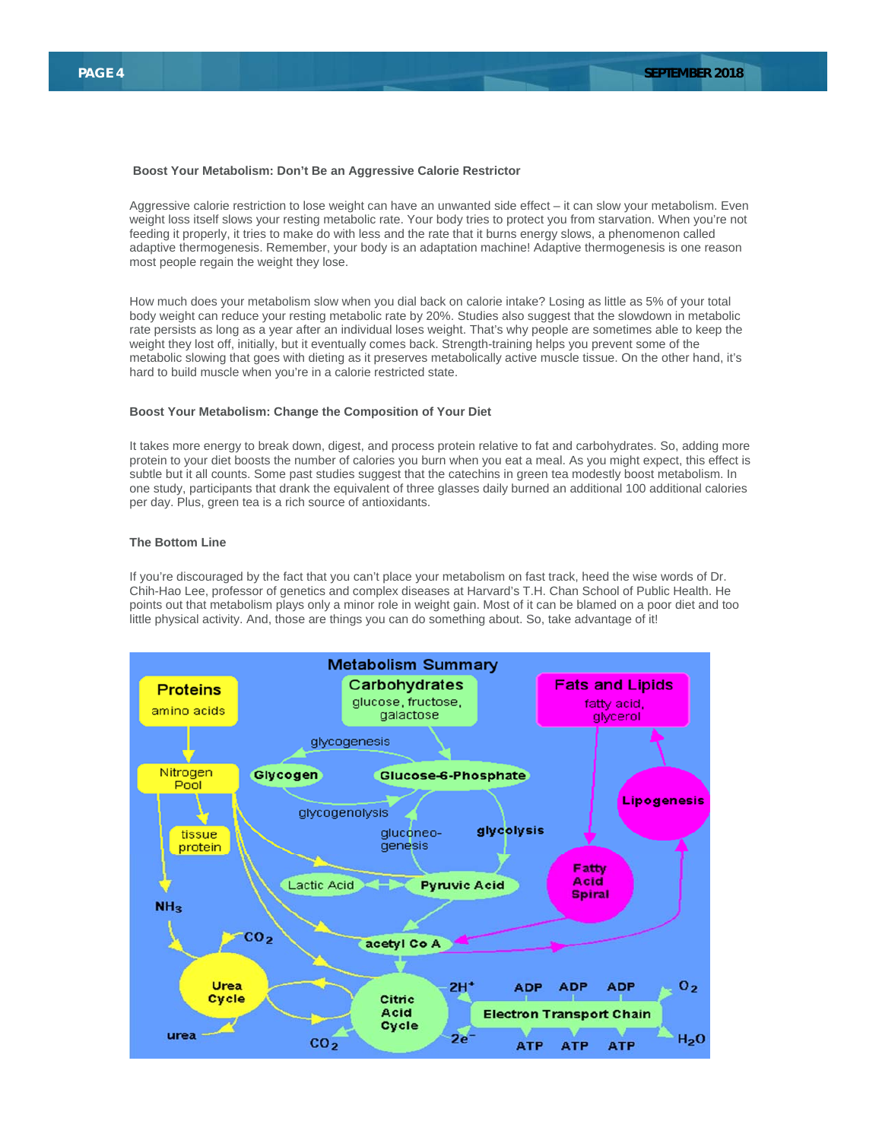#### **Boost Your Metabolism: Don't Be an Aggressive Calorie Restrictor**

Aggressive calorie restriction to lose weight can have an unwanted side effect – it can slow your metabolism. Even weight loss itself slows your resting metabolic rate. Your body tries to protect you from starvation. When you're not feeding it properly, it tries to make do with less and the rate that it burns energy slows, a phenomenon called adaptive thermogenesis. Remember, your body is an adaptation machine! Adaptive thermogenesis is one reason most people regain the weight they lose.

How much does your metabolism slow when you dial back on calorie intake? Losing as little as 5% of your total body weight can reduce your resting metabolic rate by 20%. Studies also suggest that the slowdown in metabolic rate persists as long as a year after an individual loses weight. That's why people are sometimes able to keep the weight they lost off, initially, but it eventually comes back. Strength-training helps you prevent some of the metabolic slowing that goes with dieting as it preserves metabolically active muscle tissue. On the other hand, it's hard to build muscle when you're in a calorie restricted state.

#### **Boost Your Metabolism: Change the Composition of Your Diet**

It takes more energy to break down, digest, and process protein relative to fat and carbohydrates. So, adding more protein to your diet boosts the number of calories you burn when you eat a meal. As you might expect, this effect is subtle but it all counts. Some past studies suggest that the catechins in green tea modestly boost metabolism. In one study, participants that drank the equivalent of three glasses daily burned an additional 100 additional calories per day. Plus, green tea is a rich source of antioxidants.

#### **The Bottom Line**

If you're discouraged by the fact that you can't place your metabolism on fast track, heed the wise words of Dr. Chih-Hao Lee, professor of genetics and complex diseases at Harvard's T.H. Chan School of Public Health. He points out that metabolism plays only a minor role in weight gain. Most of it can be blamed on a poor diet and too little physical activity. And, those are things you can do something about. So, take advantage of it!

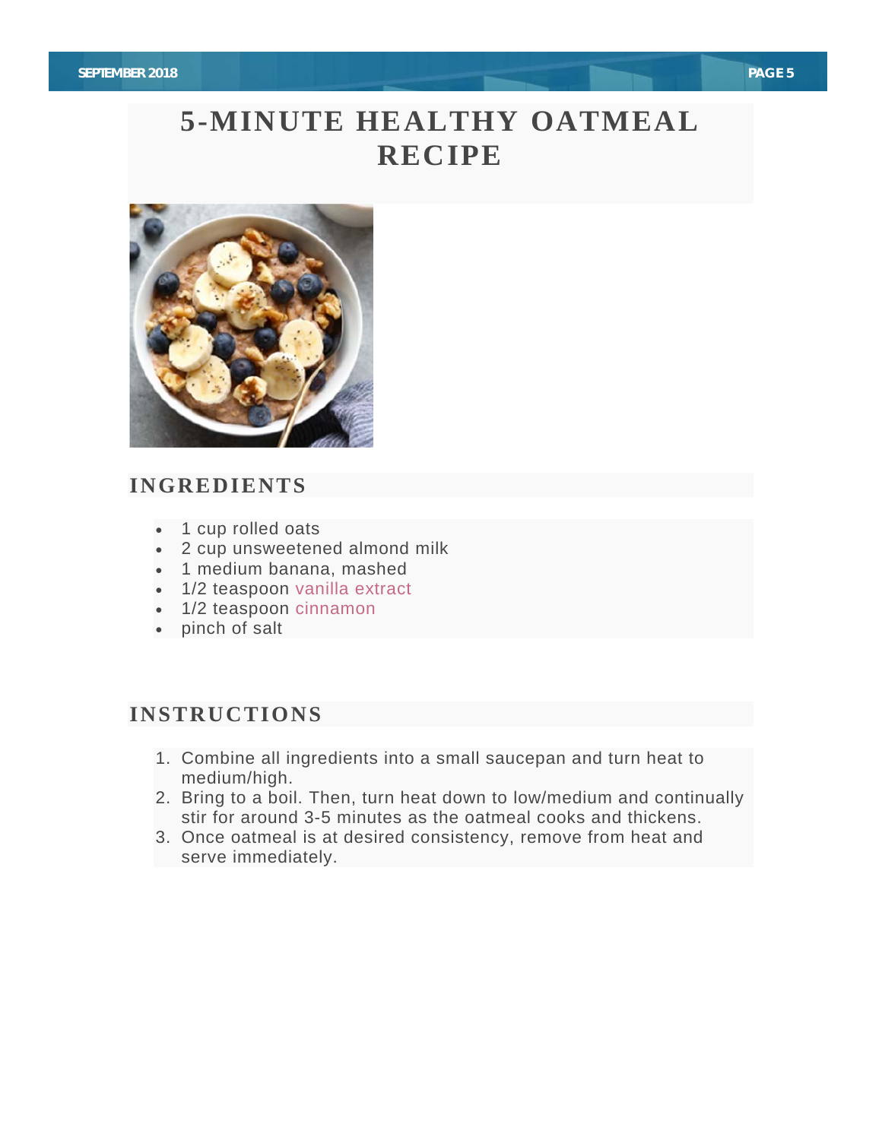# **5-MINUTE HEALTHY OATMEAL RECIPE**



## **INGREDIENTS**

- 1 cup rolled oats
- 2 cup unsweetened almond milk
- 1 medium banana, mashed
- 1/2 teaspoon vanilla extract
- 1/2 teaspoon cinnamon
- pinch of salt

## **INSTRUCTIONS**

- 1. Combine all ingredients into a small saucepan and turn heat to medium/high.
- 2. Bring to a boil. Then, turn heat down to low/medium and continually stir for around 3-5 minutes as the oatmeal cooks and thickens.
- 3. Once oatmeal is at desired consistency, remove from heat and serve immediately.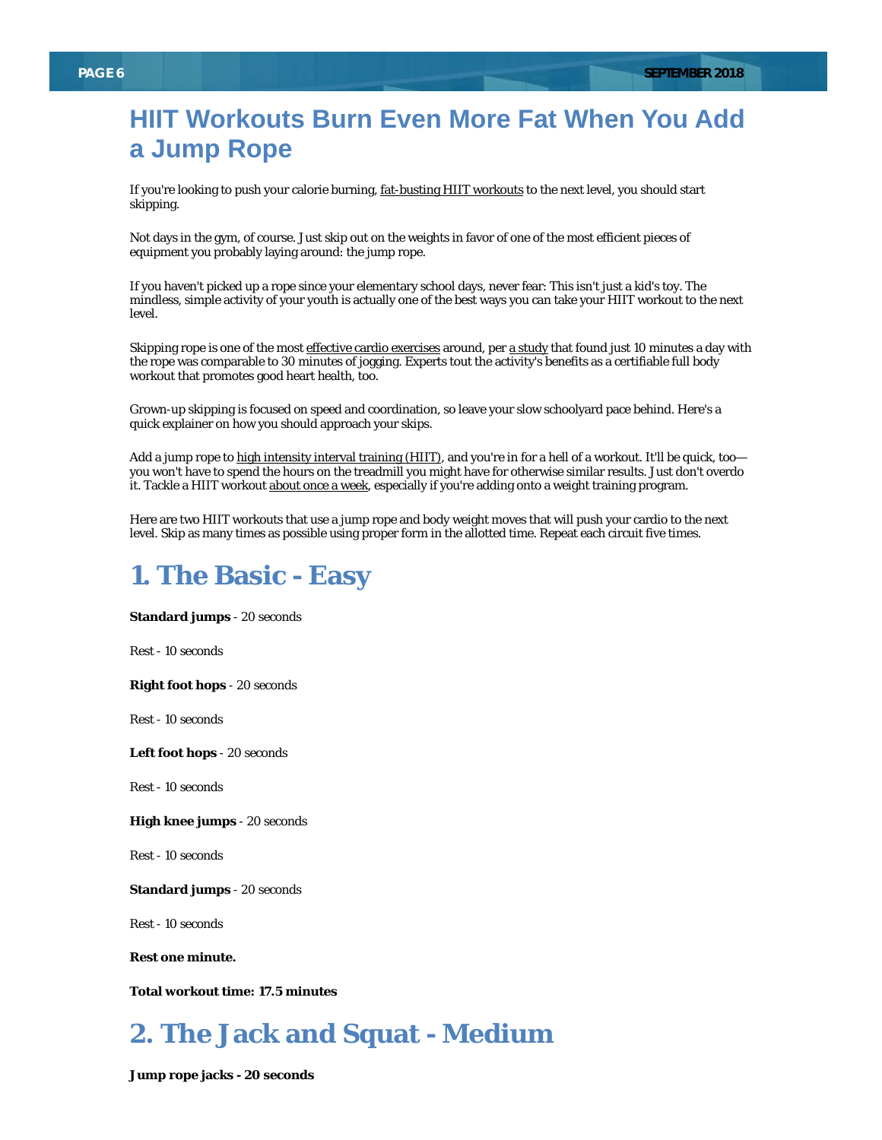# **HIIT Workouts Burn Even More Fat When You Add a Jump Rope**

If you're looking to push your calorie burning, fat-busting HIIT workouts to the next level, you should start skipping.

Not days in the gym, of course. Just skip out on the weights in favor of one of the most efficient pieces of equipment you probably laying around: the jump rope.

If you haven't picked up a rope since your elementary school days, never fear: This isn't just a kid's toy. The mindless, simple activity of your youth is actually one of the best ways you can take your HIIT workout to the next level.

Skipping rope is one of the most effective cardio exercises around, per a study that found just 10 minutes a day with the rope was comparable to 30 minutes of jogging. Experts tout the activity's benefits as a certifiable full body workout that promotes good heart health, too.

Grown-up skipping is focused on speed and coordination, so leave your slow schoolyard pace behind. Here's a quick explainer on how you should approach your skips.

Add a jump rope to high intensity interval training (HIIT), and you're in for a hell of a workout. It'll be quick, too you won't have to spend the hours on the treadmill you might have for otherwise similar results. Just don't overdo it. Tackle a HIIT workout about once a week, especially if you're adding onto a weight training program.

Here are two HIIT workouts that use a jump rope and body weight moves that will push your cardio to the next level. Skip as many times as possible using proper form in the allotted time. Repeat each circuit five times.

## **1. The Basic - Easy**

**Standard jumps** - 20 seconds

Rest - 10 seconds

**Right foot hops** - 20 seconds

Rest - 10 seconds

**Left foot hops** - 20 seconds

Rest - 10 seconds

**High knee jumps** - 20 seconds

Rest - 10 seconds

**Standard jumps** - 20 seconds

Rest - 10 seconds

**Rest one minute.**

**Total workout time: 17.5 minutes**

# **2. The Jack and Squat - Medium**

**Jump rope jacks - 20 seconds**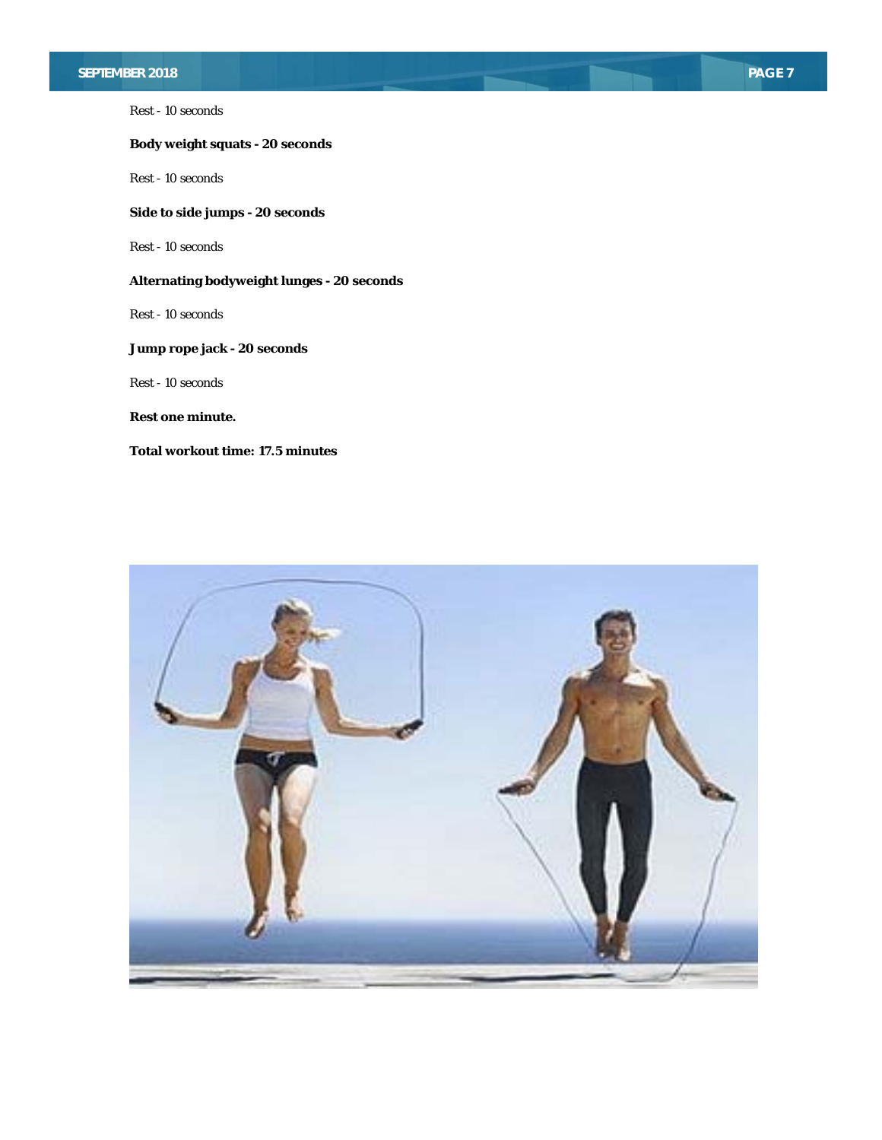## **SEPTEMBER 2018** PAGE 7

Rest - 10 seconds

## **Body weight squats - 20 seconds**

Rest - 10 seconds

**Side to side jumps - 20 seconds**

Rest - 10 seconds

## **Alternating bodyweight lunges - 20 seconds**

Rest - 10 seconds

## **Jump rope jack - 20 seconds**

Rest - 10 seconds

**Rest one minute.**

**Total workout time: 17.5 minutes**